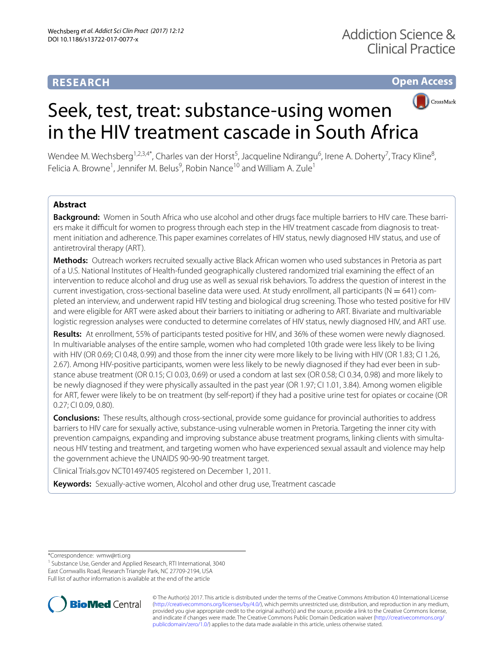# **RESEARCH**

**Open Access**



# Seek, test, treat: substance-using women in the HIV treatment cascade in South Africa

Wendee M. Wechsberg<sup>1,2,3,4\*</sup>, Charles van der Horst<sup>5</sup>, Jacqueline Ndirangu<sup>6</sup>, Irene A. Doherty<sup>7</sup>, Tracy Kline<sup>8</sup>, Felicia A. Browne<sup>1</sup>, Jennifer M. Belus<sup>9</sup>, Robin Nance<sup>10</sup> and William A. Zule<sup>1</sup>

# **Abstract**

**Background:** Women in South Africa who use alcohol and other drugs face multiple barriers to HIV care. These barriers make it difcult for women to progress through each step in the HIV treatment cascade from diagnosis to treatment initiation and adherence. This paper examines correlates of HIV status, newly diagnosed HIV status, and use of antiretroviral therapy (ART).

**Methods:** Outreach workers recruited sexually active Black African women who used substances in Pretoria as part of a U.S. National Institutes of Health-funded geographically clustered randomized trial examining the efect of an intervention to reduce alcohol and drug use as well as sexual risk behaviors. To address the question of interest in the current investigation, cross-sectional baseline data were used. At study enrollment, all participants ( $N = 641$ ) completed an interview, and underwent rapid HIV testing and biological drug screening. Those who tested positive for HIV and were eligible for ART were asked about their barriers to initiating or adhering to ART. Bivariate and multivariable logistic regression analyses were conducted to determine correlates of HIV status, newly diagnosed HIV, and ART use.

**Results:** At enrollment, 55% of participants tested positive for HIV, and 36% of these women were newly diagnosed. In multivariable analyses of the entire sample, women who had completed 10th grade were less likely to be living with HIV (OR 0.69; CI 0.48, 0.99) and those from the inner city were more likely to be living with HIV (OR 1.83; CI 1.26, 2.67). Among HIV-positive participants, women were less likely to be newly diagnosed if they had ever been in substance abuse treatment (OR 0.15; CI 0.03, 0.69) or used a condom at last sex (OR 0.58; CI 0.34, 0.98) and more likely to be newly diagnosed if they were physically assaulted in the past year (OR 1.97; CI 1.01, 3.84). Among women eligible for ART, fewer were likely to be on treatment (by self-report) if they had a positive urine test for opiates or cocaine (OR 0.27; CI 0.09, 0.80).

**Conclusions:** These results, although cross-sectional, provide some guidance for provincial authorities to address barriers to HIV care for sexually active, substance-using vulnerable women in Pretoria. Targeting the inner city with prevention campaigns, expanding and improving substance abuse treatment programs, linking clients with simultaneous HIV testing and treatment, and targeting women who have experienced sexual assault and violence may help the government achieve the UNAIDS 90-90-90 treatment target.

Clinical Trials.gov NCT01497405 registered on December 1, 2011.

**Keywords:** Sexually-active women, Alcohol and other drug use, Treatment cascade

\*Correspondence: wmw@rti.org

<sup>&</sup>lt;sup>1</sup> Substance Use, Gender and Applied Research, RTI International, 3040 East Cornwallis Road, Research Triangle Park, NC 27709-2194, USA Full list of author information is available at the end of the article



© The Author(s) 2017. This article is distributed under the terms of the Creative Commons Attribution 4.0 International License [\(http://creativecommons.org/licenses/by/4.0/\)](http://creativecommons.org/licenses/by/4.0/), which permits unrestricted use, distribution, and reproduction in any medium, provided you give appropriate credit to the original author(s) and the source, provide a link to the Creative Commons license, and indicate if changes were made. The Creative Commons Public Domain Dedication waiver ([http://creativecommons.org/](http://creativecommons.org/publicdomain/zero/1.0/) [publicdomain/zero/1.0/](http://creativecommons.org/publicdomain/zero/1.0/)) applies to the data made available in this article, unless otherwise stated.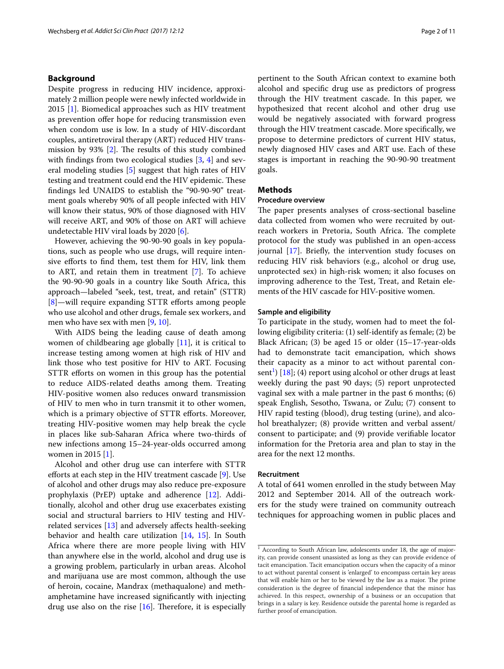# **Background**

Despite progress in reducing HIV incidence, approximately 2 million people were newly infected worldwide in 2015 [[1\]](#page-9-0). Biomedical approaches such as HIV treatment as prevention offer hope for reducing transmission even when condom use is low. In a study of HIV-discordant couples, antiretroviral therapy (ART) reduced HIV transmission by 93%  $[2]$  $[2]$ . The results of this study combined with findings from two ecological studies [\[3](#page-9-2), [4](#page-9-3)] and several modeling studies [\[5](#page-9-4)] suggest that high rates of HIV testing and treatment could end the HIV epidemic. These fndings led UNAIDS to establish the "90-90-90" treatment goals whereby 90% of all people infected with HIV will know their status, 90% of those diagnosed with HIV will receive ART, and 90% of those on ART will achieve undetectable HIV viral loads by 2020 [[6\]](#page-9-5).

However, achieving the 90-90-90 goals in key populations, such as people who use drugs, will require intensive efforts to find them, test them for HIV, link them to ART, and retain them in treatment [[7\]](#page-9-6). To achieve the 90-90-90 goals in a country like South Africa, this approach—labeled "seek, test, treat, and retain" (STTR) [[8\]](#page-9-7)—will require expanding STTR efforts among people who use alcohol and other drugs, female sex workers, and men who have sex with men [\[9](#page-9-8), [10\]](#page-9-9).

With AIDS being the leading cause of death among women of childbearing age globally [\[11](#page-9-10)], it is critical to increase testing among women at high risk of HIV and link those who test positive for HIV to ART. Focusing STTR efforts on women in this group has the potential to reduce AIDS-related deaths among them. Treating HIV-positive women also reduces onward transmission of HIV to men who in turn transmit it to other women, which is a primary objective of STTR efforts. Moreover, treating HIV-positive women may help break the cycle in places like sub-Saharan Africa where two-thirds of new infections among 15–24-year-olds occurred among women in 2015 [[1\]](#page-9-0).

Alcohol and other drug use can interfere with STTR efforts at each step in the HIV treatment cascade  $[9]$  $[9]$ . Use of alcohol and other drugs may also reduce pre-exposure prophylaxis (PrEP) uptake and adherence [\[12](#page-9-11)]. Additionally, alcohol and other drug use exacerbates existing social and structural barriers to HIV testing and HIVrelated services [\[13](#page-9-12)] and adversely afects health-seeking behavior and health care utilization [\[14,](#page-9-13) [15](#page-9-14)]. In South Africa where there are more people living with HIV than anywhere else in the world, alcohol and drug use is a growing problem, particularly in urban areas. Alcohol and marijuana use are most common, although the use of heroin, cocaine, Mandrax (methaqualone) and methamphetamine have increased signifcantly with injecting drug use also on the rise  $[16]$  $[16]$ . Therefore, it is especially pertinent to the South African context to examine both alcohol and specifc drug use as predictors of progress through the HIV treatment cascade. In this paper, we hypothesized that recent alcohol and other drug use would be negatively associated with forward progress through the HIV treatment cascade. More specifcally, we propose to determine predictors of current HIV status, newly diagnosed HIV cases and ART use. Each of these stages is important in reaching the 90-90-90 treatment goals.

# **Methods**

# **Procedure overview**

The paper presents analyses of cross-sectional baseline data collected from women who were recruited by outreach workers in Pretoria, South Africa. The complete protocol for the study was published in an open-access journal [[17\]](#page-9-16). Briefy, the intervention study focuses on reducing HIV risk behaviors (e.g., alcohol or drug use, unprotected sex) in high-risk women; it also focuses on improving adherence to the Test, Treat, and Retain elements of the HIV cascade for HIV-positive women.

## **Sample and eligibility**

To participate in the study, women had to meet the following eligibility criteria: (1) self-identify as female; (2) be Black African; (3) be aged 15 or older (15–17-year-olds had to demonstrate tacit emancipation, which shows their capacity as a minor to act without parental con-sent<sup>[1](#page-1-0)</sup>) [[18\]](#page-9-17); (4) report using alcohol or other drugs at least weekly during the past 90 days; (5) report unprotected vaginal sex with a male partner in the past 6 months; (6) speak English, Sesotho, Tswana, or Zulu; (7) consent to HIV rapid testing (blood), drug testing (urine), and alcohol breathalyzer; (8) provide written and verbal assent/ consent to participate; and (9) provide verifable locator information for the Pretoria area and plan to stay in the area for the next 12 months.

# **Recruitment**

A total of 641 women enrolled in the study between May 2012 and September 2014. All of the outreach workers for the study were trained on community outreach techniques for approaching women in public places and

<span id="page-1-0"></span> $1$  According to South African law, adolescents under 18, the age of majority, can provide consent unassisted as long as they can provide evidence of tacit emancipation. Tacit emancipation occurs when the capacity of a minor to act without parental consent is 'enlarged' to encompass certain key areas that will enable him or her to be viewed by the law as a major. The prime consideration is the degree of fnancial independence that the minor has achieved. In this respect, ownership of a business or an occupation that brings in a salary is key. Residence outside the parental home is regarded as further proof of emancipation.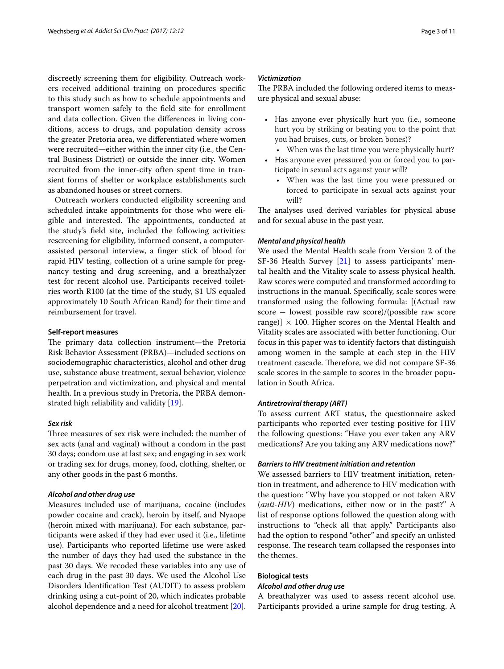discreetly screening them for eligibility. Outreach workers received additional training on procedures specifc to this study such as how to schedule appointments and transport women safely to the feld site for enrollment and data collection. Given the diferences in living conditions, access to drugs, and population density across the greater Pretoria area, we diferentiated where women were recruited—either within the inner city (i.e., the Central Business District) or outside the inner city. Women recruited from the inner-city often spent time in transient forms of shelter or workplace establishments such as abandoned houses or street corners.

Outreach workers conducted eligibility screening and scheduled intake appointments for those who were eligible and interested. The appointments, conducted at the study's feld site, included the following activities: rescreening for eligibility, informed consent, a computerassisted personal interview, a fnger stick of blood for rapid HIV testing, collection of a urine sample for pregnancy testing and drug screening, and a breathalyzer test for recent alcohol use. Participants received toiletries worth R100 (at the time of the study, \$1 US equaled approximately 10 South African Rand) for their time and reimbursement for travel.

## **Self‑report measures**

The primary data collection instrument—the Pretoria Risk Behavior Assessment (PRBA)—included sections on sociodemographic characteristics, alcohol and other drug use, substance abuse treatment, sexual behavior, violence perpetration and victimization, and physical and mental health. In a previous study in Pretoria, the PRBA demonstrated high reliability and validity [\[19](#page-9-18)].

# *Sex risk*

Three measures of sex risk were included: the number of sex acts (anal and vaginal) without a condom in the past 30 days; condom use at last sex; and engaging in sex work or trading sex for drugs, money, food, clothing, shelter, or any other goods in the past 6 months.

# *Alcohol and other drug use*

Measures included use of marijuana, cocaine (includes powder cocaine and crack), heroin by itself, and Nyaope (heroin mixed with marijuana). For each substance, participants were asked if they had ever used it (i.e., lifetime use). Participants who reported lifetime use were asked the number of days they had used the substance in the past 30 days. We recoded these variables into any use of each drug in the past 30 days. We used the Alcohol Use Disorders Identifcation Test (AUDIT) to assess problem drinking using a cut-point of 20, which indicates probable alcohol dependence and a need for alcohol treatment [\[20](#page-9-19)].

# *Victimization*

The PRBA included the following ordered items to measure physical and sexual abuse:

- •• Has anyone ever physically hurt you (i.e., someone hurt you by striking or beating you to the point that you had bruises, cuts, or broken bones)?
	- When was the last time you were physically hurt?
- •• Has anyone ever pressured you or forced you to participate in sexual acts against your will?
	- When was the last time you were pressured or forced to participate in sexual acts against your will?

The analyses used derived variables for physical abuse and for sexual abuse in the past year.

# *Mental and physical health*

We used the Mental Health scale from Version 2 of the SF-36 Health Survey [\[21](#page-9-20)] to assess participants' mental health and the Vitality scale to assess physical health. Raw scores were computed and transformed according to instructions in the manual. Specifcally, scale scores were transformed using the following formula: [(Actual raw score  $-$  lowest possible raw score)/(possible raw score range)]  $\times$  100. Higher scores on the Mental Health and Vitality scales are associated with better functioning. Our focus in this paper was to identify factors that distinguish among women in the sample at each step in the HIV treatment cascade. Therefore, we did not compare SF-36 scale scores in the sample to scores in the broader population in South Africa.

# *Antiretroviral therapy (ART)*

To assess current ART status, the questionnaire asked participants who reported ever testing positive for HIV the following questions: "Have you ever taken any ARV medications? Are you taking any ARV medications now?"

# *Barriers to HIV treatment initiation and retention*

We assessed barriers to HIV treatment initiation, retention in treatment, and adherence to HIV medication with the question: "Why have you stopped or not taken ARV (*anti*-*HIV*) medications, either now or in the past?" A list of response options followed the question along with instructions to "check all that apply." Participants also had the option to respond "other" and specify an unlisted response. The research team collapsed the responses into the themes.

# **Biological tests**

## *Alcohol and other drug use*

A breathalyzer was used to assess recent alcohol use. Participants provided a urine sample for drug testing. A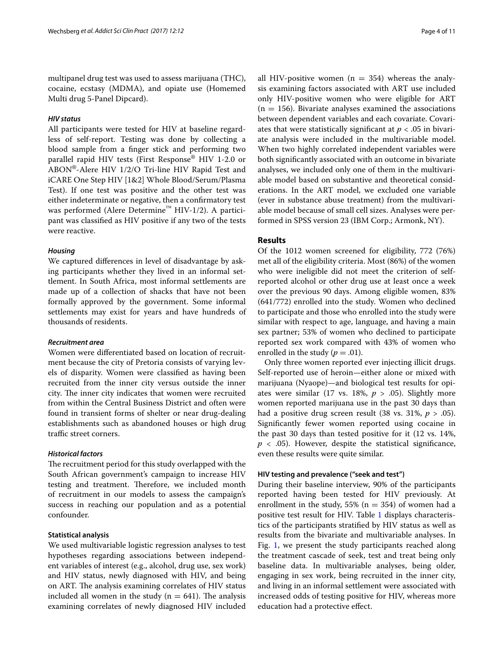multipanel drug test was used to assess marijuana (THC), cocaine, ecstasy (MDMA), and opiate use (Homemed Multi drug 5-Panel Dipcard).

# *HIV status*

All participants were tested for HIV at baseline regardless of self-report. Testing was done by collecting a blood sample from a fnger stick and performing two parallel rapid HIV tests (First Response® HIV 1-2.0 or ABON®-Alere HIV 1/2/O Tri-line HIV Rapid Test and iCARE One Step HIV [1&2] Whole Blood/Serum/Plasma Test). If one test was positive and the other test was either indeterminate or negative, then a confrmatory test was performed (Alere Determine™ HIV-1/2). A participant was classifed as HIV positive if any two of the tests were reactive.

## *Housing*

We captured diferences in level of disadvantage by asking participants whether they lived in an informal settlement. In South Africa, most informal settlements are made up of a collection of shacks that have not been formally approved by the government. Some informal settlements may exist for years and have hundreds of thousands of residents.

# *Recruitment area*

Women were diferentiated based on location of recruitment because the city of Pretoria consists of varying levels of disparity. Women were classifed as having been recruited from the inner city versus outside the inner city. The inner city indicates that women were recruited from within the Central Business District and often were found in transient forms of shelter or near drug-dealing establishments such as abandoned houses or high drug traffic street corners.

# *Historical factors*

The recruitment period for this study overlapped with the South African government's campaign to increase HIV testing and treatment. Therefore, we included month of recruitment in our models to assess the campaign's success in reaching our population and as a potential confounder.

# **Statistical analysis**

We used multivariable logistic regression analyses to test hypotheses regarding associations between independent variables of interest (e.g., alcohol, drug use, sex work) and HIV status, newly diagnosed with HIV, and being on ART. The analysis examining correlates of HIV status included all women in the study ( $n = 641$ ). The analysis examining correlates of newly diagnosed HIV included all HIV-positive women ( $n = 354$ ) whereas the analysis examining factors associated with ART use included only HIV-positive women who were eligible for ART  $(n = 156)$ . Bivariate analyses examined the associations between dependent variables and each covariate. Covariates that were statistically significant at  $p < .05$  in bivariate analysis were included in the multivariable model. When two highly correlated independent variables were both signifcantly associated with an outcome in bivariate analyses, we included only one of them in the multivariable model based on substantive and theoretical considerations. In the ART model, we excluded one variable (ever in substance abuse treatment) from the multivariable model because of small cell sizes. Analyses were performed in SPSS version 23 (IBM Corp.; Armonk, NY).

# **Results**

Of the 1012 women screened for eligibility, 772 (76%) met all of the eligibility criteria. Most (86%) of the women who were ineligible did not meet the criterion of selfreported alcohol or other drug use at least once a week over the previous 90 days. Among eligible women, 83% (641/772) enrolled into the study. Women who declined to participate and those who enrolled into the study were similar with respect to age, language, and having a main sex partner; 53% of women who declined to participate reported sex work compared with 43% of women who enrolled in the study  $(p=.01)$ .

Only three women reported ever injecting illicit drugs. Self-reported use of heroin—either alone or mixed with marijuana (Nyaope)—and biological test results for opiates were similar (17 vs. 18%,  $p > .05$ ). Slightly more women reported marijuana use in the past 30 days than had a positive drug screen result  $(38 \text{ vs. } 31\%, p > .05)$ . Signifcantly fewer women reported using cocaine in the past 30 days than tested positive for it (12 vs. 14%,  $p \lt 0.05$ ). However, despite the statistical significance, even these results were quite similar.

# **HIV testing and prevalence ("seek and test")**

During their baseline interview, 90% of the participants reported having been tested for HIV previously. At enrollment in the study, 55% ( $n = 354$ ) of women had a positive test result for HIV. Table [1](#page-4-0) displays characteristics of the participants stratifed by HIV status as well as results from the bivariate and multivariable analyses. In Fig. [1](#page-5-0), we present the study participants reached along the treatment cascade of seek, test and treat being only baseline data. In multivariable analyses, being older, engaging in sex work, being recruited in the inner city, and living in an informal settlement were associated with increased odds of testing positive for HIV, whereas more education had a protective efect.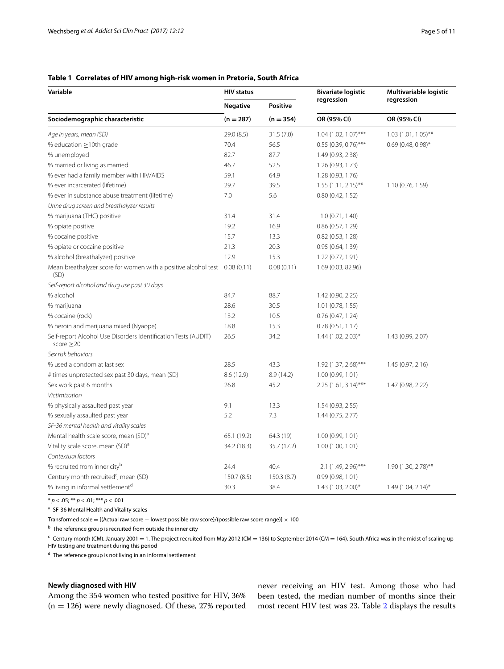| Variable<br>Sociodemographic characteristic                                        | <b>HIV status</b> |             | <b>Bivariate logistic</b> | Multivariable logistic |  |
|------------------------------------------------------------------------------------|-------------------|-------------|---------------------------|------------------------|--|
|                                                                                    | <b>Negative</b>   | Positive    | regression                | regression             |  |
|                                                                                    | $(n = 287)$       | $(n = 354)$ | OR (95% CI)               | OR (95% CI)            |  |
| Age in years, mean (SD)                                                            | 29.0 (8.5)        | 31.5(7.0)   | $1.04(1.02, 1.07)$ ***    | $1.03(1.01, 1.05)$ **  |  |
| % education $\geq$ 10th grade                                                      | 70.4              | 56.5        | $0.55$ (0.39, 0.76)***    | $0.69$ (0.48, 0.98)*   |  |
| % unemployed                                                                       | 82.7              | 87.7        | 1.49 (0.93, 2.38)         |                        |  |
| % married or living as married                                                     | 46.7              | 52.5        | 1.26(0.93, 1.73)          |                        |  |
| % ever had a family member with HIV/AIDS                                           | 59.1              | 64.9        | 1.28 (0.93, 1.76)         |                        |  |
| % ever incarcerated (lifetime)                                                     | 29.7              | 39.5        | $1.55(1.11, 2.15)$ **     | 1.10(0.76, 1.59)       |  |
| % ever in substance abuse treatment (lifetime)                                     | 7.0               | 5.6         | 0.80(0.42, 1.52)          |                        |  |
| Urine drug screen and breathalyzer results                                         |                   |             |                           |                        |  |
| % marijuana (THC) positive                                                         | 31.4              | 31.4        | 1.0(0.71, 1.40)           |                        |  |
| % opiate positive                                                                  | 19.2              | 16.9        | 0.86(0.57, 1.29)          |                        |  |
| % cocaine positive                                                                 | 15.7              | 13.3        | 0.82(0.53, 1.28)          |                        |  |
| % opiate or cocaine positive                                                       | 21.3              | 20.3        | 0.95(0.64, 1.39)          |                        |  |
| % alcohol (breathalyzer) positive                                                  | 12.9              | 15.3        | 1.22 (0.77, 1.91)         |                        |  |
| Mean breathalyzer score for women with a positive alcohol test 0.08 (0.11)<br>(SD) |                   | 0.08(0.11)  | 1.69 (0.03, 82.96)        |                        |  |
| Self-report alcohol and drug use past 30 days                                      |                   |             |                           |                        |  |
| % alcohol                                                                          | 84.7              | 88.7        | 1.42 (0.90, 2.25)         |                        |  |
| % marijuana                                                                        | 28.6              | 30.5        | $1.01$ (0.78, 1.55)       |                        |  |
| % cocaine (rock)                                                                   | 13.2              | 10.5        | 0.76(0.47, 1.24)          |                        |  |
| % heroin and marijuana mixed (Nyaope)                                              | 18.8              | 15.3        | 0.78(0.51, 1.17)          |                        |  |
| Self-report Alcohol Use Disorders Identification Tests (AUDIT)<br>score $\geq$ 20  | 26.5              | 34.2        | $1.44(1.02, 2.03)^{*}$    | 1.43 (0.99, 2.07)      |  |
| Sex risk behaviors                                                                 |                   |             |                           |                        |  |
| % used a condom at last sex                                                        | 28.5              | 43.3        | 1.92 (1.37, 2.68)***      | 1.45(0.97, 2.16)       |  |
| # times unprotected sex past 30 days, mean (SD)                                    | 8.6(12.9)         | 8.9(14.2)   | 1.00(0.99, 1.01)          |                        |  |
| Sex work past 6 months                                                             | 26.8              | 45.2        | $2.25(1.61, 3.14)$ ***    | 1.47 (0.98, 2.22)      |  |
| Victimization                                                                      |                   |             |                           |                        |  |
| % physically assaulted past year                                                   | 9.1               | 13.3        | 1.54(0.93, 2.55)          |                        |  |
| % sexually assaulted past year                                                     | 5.2               | 7.3         | 1.44(0.75, 2.77)          |                        |  |
| SF-36 mental health and vitality scales                                            |                   |             |                           |                        |  |
| Mental health scale score, mean (SD) <sup>a</sup>                                  | 65.1 (19.2)       | 64.3 (19)   | 1.00 (0.99, 1.01)         |                        |  |
| Vitality scale score, mean (SD) <sup>a</sup>                                       | 34.2 (18.3)       | 35.7 (17.2) | 1.00(1.00, 1.01)          |                        |  |
| Contextual factors                                                                 |                   |             |                           |                        |  |
| % recruited from inner city <sup>b</sup>                                           | 24.4              | 40.4        | $2.1(1.49, 2.96)$ ***     | 1.90 (1.30, 2.78)**    |  |
| Century month recruited <sup>c</sup> , mean (SD)                                   | 150.7(8.5)        | 150.3 (8.7) | 0.99(0.98, 1.01)          |                        |  |
| % living in informal settlement <sup>d</sup>                                       | 30.3              | 38.4        | 1.43 (1.03, 2.00)*        | $1.49(1.04, 2.14)^*$   |  |

# <span id="page-4-0"></span>**Table 1 Correlates of HIV among high-risk women in Pretoria, South Africa**

\* *p* < .05; \*\* *p* < .01; \*\*\* *p* < .001

<sup>a</sup> SF-36 Mental Health and Vitality scales

Transformed scale = [(Actual raw score − lowest possible raw score)/(possible raw score range)] × 100

 $<sup>b</sup>$  The reference group is recruited from outside the inner city</sup>

 $\epsilon$  Century month (CM). January 2001 = 1. The project recruited from May 2012 (CM = 136) to September 2014 (CM = 164). South Africa was in the midst of scaling up HIV testing and treatment during this period

<sup>d</sup> The reference group is not living in an informal settlement

# **Newly diagnosed with HIV**

Among the 354 women who tested positive for HIV, 36%  $(n = 126)$  were newly diagnosed. Of these, 27% reported never receiving an HIV test. Among those who had been tested, the median number of months since their most recent HIV test was 23. Table [2](#page-6-0) displays the results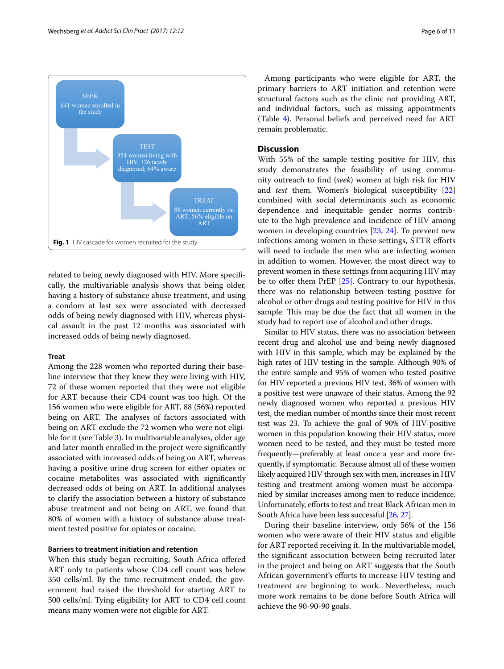

<span id="page-5-0"></span>related to being newly diagnosed with HIV. More specifcally, the multivariable analysis shows that being older, having a history of substance abuse treatment, and using a condom at last sex were associated with decreased odds of being newly diagnosed with HIV, whereas physical assault in the past 12 months was associated with increased odds of being newly diagnosed.

# **Treat**

Among the 228 women who reported during their baseline interview that they knew they were living with HIV, 72 of these women reported that they were not eligible for ART because their CD4 count was too high. Of the 156 women who were eligible for ART, 88 (56%) reported being on ART. The analyses of factors associated with being on ART exclude the 72 women who were not eligible for it (see Table [3\)](#page-7-0). In multivariable analyses, older age and later month enrolled in the project were signifcantly associated with increased odds of being on ART, whereas having a positive urine drug screen for either opiates or cocaine metabolites was associated with signifcantly decreased odds of being on ART. In additional analyses to clarify the association between a history of substance abuse treatment and not being on ART, we found that 80% of women with a history of substance abuse treatment tested positive for opiates or cocaine.

# **Barriers to treatment initiation and retention**

When this study began recruiting, South Africa ofered ART only to patients whose CD4 cell count was below 350 cells/ml. By the time recruitment ended, the government had raised the threshold for starting ART to 500 cells/ml. Tying eligibility for ART to CD4 cell count means many women were not eligible for ART.

Among participants who were eligible for ART, the primary barriers to ART initiation and retention were structural factors such as the clinic not providing ART, and individual factors, such as missing appointments (Table [4](#page-7-1)). Personal beliefs and perceived need for ART remain problematic.

# **Discussion**

With 55% of the sample testing positive for HIV, this study demonstrates the feasibility of using community outreach to fnd (*seek*) women at high risk for HIV and *test* them. Women's biological susceptibility [[22](#page-9-21)] combined with social determinants such as economic dependence and inequitable gender norms contribute to the high prevalence and incidence of HIV among women in developing countries [[23,](#page-9-22) [24](#page-9-23)]. To prevent new infections among women in these settings, STTR eforts will need to include the men who are infecting women in addition to women. However, the most direct way to prevent women in these settings from acquiring HIV may be to offer them PrEP [[25](#page-9-24)]. Contrary to our hypothesis, there was no relationship between testing positive for alcohol or other drugs and testing positive for HIV in this sample. This may be due the fact that all women in the study had to report use of alcohol and other drugs.

Similar to HIV status, there was no association between recent drug and alcohol use and being newly diagnosed with HIV in this sample, which may be explained by the high rates of HIV testing in the sample. Although 90% of the entire sample and 95% of women who tested positive for HIV reported a previous HIV test, 36% of women with a positive test were unaware of their status. Among the 92 newly diagnosed women who reported a previous HIV test, the median number of months since their most recent test was 23. To achieve the goal of 90% of HIV-positive women in this population knowing their HIV status, more women need to be tested, and they must be tested more frequently—preferably at least once a year and more frequently, if symptomatic. Because almost all of these women likely acquired HIV through sex with men, increases in HIV testing and treatment among women must be accompanied by similar increases among men to reduce incidence. Unfortunately, efforts to test and treat Black African men in South Africa have been less successful [[26](#page-9-25), [27\]](#page-9-26).

During their baseline interview, only 56% of the 156 women who were aware of their HIV status and eligible for ART reported receiving it. In the multivariable model, the signifcant association between being recruited later in the project and being on ART suggests that the South African government's efforts to increase HIV testing and treatment are beginning to work. Nevertheless, much more work remains to be done before South Africa will achieve the 90-90-90 goals.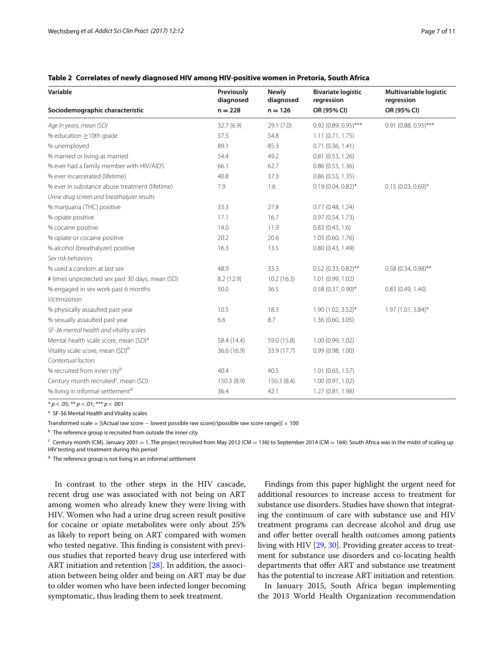# <span id="page-6-0"></span>**Table 2 Correlates of newly diagnosed HIV among HIV-positive women in Pretoria, South Africa**

| Variable                                          | Previously<br>diagnosed | <b>Newly</b><br>diagnosed | <b>Bivariate logistic</b><br>regression | Multivariable logistic<br>regression |
|---------------------------------------------------|-------------------------|---------------------------|-----------------------------------------|--------------------------------------|
| Sociodemographic characteristic                   | $n = 228$               | $n = 126$                 | OR (95% CI)                             | OR (95% CI)                          |
| Age in years, mean (SD)                           | 32.7(6.9)               | 29.1 (7.0)                | 0.92 (0.89, 0.95)***                    | 0.91 (0.88, 0.95)***                 |
| % education $\geq$ 10th grade                     | 57.5                    | 54.8                      | 1.11(0.71, 1.75)                        |                                      |
| % unemployed                                      | 89.1                    | 85.3                      | 0.71(0.36, 1.41)                        |                                      |
| % married or living as married                    | 54.4                    | 49.2                      | 0.81(0.53, 1.26)                        |                                      |
| % ever had a family member with HIV/AIDS          | 66.1                    | 62.7                      | 0.86(0.55, 1.36)                        |                                      |
| % ever incarcerated (lifetime)                    | 40.8                    | 37.3                      | 0.86(0.55, 1.35)                        |                                      |
| % ever in substance abuse treatment (lifetime)    | 7.9                     | 1.6                       | $0.19(0.04, 0.82)$ *                    | $0.15(0.03, 0.69)$ *                 |
| Urine drug screen and breathalyzer results        |                         |                           |                                         |                                      |
| % marijuana (THC) positive                        | 33.3                    | 27.8                      | 0.77(0.48, 1.24)                        |                                      |
| % opiate positive                                 | 17.1                    | 16.7                      | 0.97(0.54, 1.73)                        |                                      |
| % cocaine positive                                | 14.0                    | 11.9                      | 0.83(0.43, 1.6)                         |                                      |
| % opiate or cocaine positive                      | 20.2                    | 20.6                      | 1.03(0.60, 1.76)                        |                                      |
| % alcohol (breathalyzer) positive                 | 16.3                    | 13.5                      | 0.80(0.43, 1.49)                        |                                      |
| Sex risk behaviors                                |                         |                           |                                         |                                      |
| % used a condom at last sex                       | 48.9                    | 33.3                      | $0.52(0.33, 0.82)$ **                   | $0.58(0.34, 0.98)$ **                |
| # times unprotected sex past 30 days, mean (SD)   | 8.2 (12.9)              | 10.2(16.3)                | 1.01 (0.99, 1.02)                       |                                      |
| % engaged in sex work past 6 months               | 50.0                    | 36.5                      | $0.58(0.37, 0.90)$ *                    | 0.83(0.49, 1.40)                     |
| Victimization                                     |                         |                           |                                         |                                      |
| % physically assaulted past year                  | 10.5                    | 18.3                      | $1.90(1.02, 3.52)^{*}$                  | $1.97(1.01, 3.84)^{*}$               |
| % sexually assaulted past year                    | 6.6                     | 8.7                       | 1.36 (0.60, 3.05)                       |                                      |
| SF-36 mental health and vitality scales           |                         |                           |                                         |                                      |
| Mental health scale score, mean (SD) <sup>a</sup> | 58.4 (14.4)             | 59.0 (15.8)               | 1.00 (0.99, 1.02)                       |                                      |
| Vitality scale score, mean (SD) <sup>b</sup>      | 36.6 (16.9)             | 33.9 (17.7)               | 0.99(0.98, 1.00)                        |                                      |
| Contextual factors                                |                         |                           |                                         |                                      |
| % recruited from inner city <sup>b</sup>          | 40.4                    | 40.5                      | $1.01$ (0.65, 1.57)                     |                                      |
| Century month recruited <sup>c</sup> , mean (SD)  | 150.3(8.9)              | 150.3(8.4)                | 1.00(0.97, 1.02)                        |                                      |
| % living in informal settlement <sup>d</sup>      | 36.4                    | 42.1                      | 1.27(0.81, 1.98)                        |                                      |

\* *p* < .05; \*\* *p* < .01; \*\*\* *p* < .001

a SF-36 Mental Health and Vitality scales

Transformed scale = [(Actual raw score − lowest possible raw score)/(possible raw score range)] × 100

**b** The reference group is recruited from outside the inner city

 $c$  Century month (CM). January 2001 = 1. The project recruited from May 2012 (CM = 136) to September 2014 (CM = 164). South Africa was in the midst of scaling up HIV testing and treatment during this period

<sup>d</sup> The reference group is not living in an informal settlement

In contrast to the other steps in the HIV cascade, recent drug use was associated with not being on ART among women who already knew they were living with HIV. Women who had a urine drug screen result positive for cocaine or opiate metabolites were only about 25% as likely to report being on ART compared with women who tested negative. This finding is consistent with previous studies that reported heavy drug use interfered with ART initiation and retention [\[28](#page-9-27)]. In addition, the association between being older and being on ART may be due to older women who have been infected longer becoming symptomatic, thus leading them to seek treatment.

Findings from this paper highlight the urgent need for additional resources to increase access to treatment for substance use disorders. Studies have shown that integrating the continuum of care with substance use and HIV treatment programs can decrease alcohol and drug use and offer better overall health outcomes among patients living with HIV [\[29](#page-9-28), [30\]](#page-9-29). Providing greater access to treatment for substance use disorders and co-locating health departments that offer ART and substance use treatment has the potential to increase ART initiation and retention.

In January 2015, South Africa began implementing the 2013 World Health Organization recommendation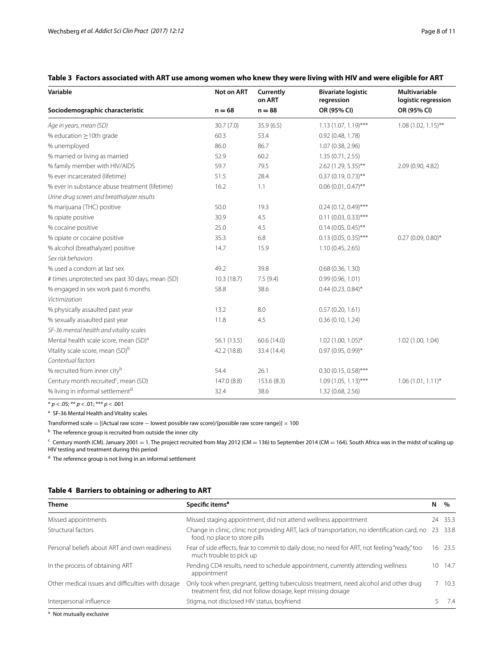# <span id="page-7-0"></span>**Table 3 Factors associated with ART use among women who knew they were living with HIV and were eligible for ART**

| Variable                                          | Not on ART  | Currently<br>on ART | <b>Bivariate logistic</b><br>regression | <b>Multivariable</b><br>logistic regression |  |
|---------------------------------------------------|-------------|---------------------|-----------------------------------------|---------------------------------------------|--|
| Sociodemographic characteristic                   | $n = 68$    | $n = 88$            | OR (95% CI)                             | OR (95% CI)                                 |  |
| Age in years, mean (SD)                           | 30.7(7.0)   | 35.9(6.5)           | $1.13(1.07, 1.19)$ ***                  | $1.08(1.02, 1.15)$ **                       |  |
| % education $\geq$ 10th grade                     | 60.3        | 53.4                | 0.92(0.48, 1.78)                        |                                             |  |
| % unemployed                                      | 86.0        | 86.7                | 1.07 (0.38, 2.96)                       |                                             |  |
| % married or living as married                    | 52.9        | 60.2                | 1.35(0.71, 2.55)                        |                                             |  |
| % family member with HIV/AIDS                     | 59.7        | 79.5                | 2.62 (1.29, 5.35)**                     | 2.09 (0.90, 4.82)                           |  |
| % ever incarcerated (lifetime)                    | 51.5        | 28.4                | $0.37$ (0.19, 0.73)**                   |                                             |  |
| % ever in substance abuse treatment (lifetime)    | 16.2        | 1.1                 | $0.06(0.01, 0.47)$ **                   |                                             |  |
| Urine drug screen and breathalyzer results        |             |                     |                                         |                                             |  |
| % marijuana (THC) positive                        | 50.0        | 19.3                | $0.24$ (0.12, 0.49)***                  |                                             |  |
| % opiate positive                                 | 30.9        | 4.5                 | $0.11$ (0.03, 0.33)***                  |                                             |  |
| % cocaine positive                                | 25.0        | 4.5                 | $0.14(0.05, 0.45)$ **                   |                                             |  |
| % opiate or cocaine positive                      | 35.3        | 6.8                 | $0.13(0.05, 0.35)$ ***                  | $0.27$ (0.09, 0.80)*                        |  |
| % alcohol (breathalyzer) positive                 | 14.7        | 15.9                | 1.10(0.45, 2.65)                        |                                             |  |
| Sex risk behaviors                                |             |                     |                                         |                                             |  |
| % used a condom at last sex                       | 49.2        | 39.8                | 0.68(0.36, 1.30)                        |                                             |  |
| # times unprotected sex past 30 days, mean (SD)   | 10.3(18.7)  | 7.5(9.4)            | 0.99(0.96, 1.01)                        |                                             |  |
| % engaged in sex work past 6 months               | 58.8        | 38.6                | $0.44$ (0.23, 0.84)*                    |                                             |  |
| Victimization                                     |             |                     |                                         |                                             |  |
| % physically assaulted past year                  | 13.2        | 8.0                 | 0.57(0.20, 1.61)                        |                                             |  |
| % sexually assaulted past year                    | 11.8        | 4.5                 | 0.36(0.10, 1.24)                        |                                             |  |
| SF-36 mental health and vitality scales           |             |                     |                                         |                                             |  |
| Mental health scale score, mean (SD) <sup>a</sup> | 56.1 (13.5) | 60.6 (14.0)         | $1.02$ (1.00, 1.05)*                    | 1.02 (1.00, 1.04)                           |  |
| Vitality scale score, mean (SD) <sup>b</sup>      | 42.2 (18.8) | 33.4 (14.4)         | $0.97$ (0.95, 0.99)*                    |                                             |  |
| Contextual factors                                |             |                     |                                         |                                             |  |
| % recruited from inner city <sup>b</sup>          | 54.4        | 26.1                | $0.30(0.15, 0.58)$ ***                  |                                             |  |
| Century month recruited <sup>c</sup> , mean (SD)  | 147.0 (8.8) | 153.6 (8.3)         | $1.09(1.05, 1.13)$ ***                  | $1.06(1.01, 1.11)^*$                        |  |
| % living in informal settlement <sup>d</sup>      | 32.4        | 38.6                | 1.32 (0.68, 2.56)                       |                                             |  |

\* *p* < .05; \*\* *p* < .01; \*\*\* *p* < .001

<sup>a</sup> SF-36 Mental Health and Vitality scales

Transformed scale = [(Actual raw score − lowest possible raw score)/(possible raw score range)] × 100

 $<sup>b</sup>$  The reference group is recruited from outside the inner city</sup>

 $c$  Century month (CM). January 2001 = 1. The project recruited from May 2012 (CM = 136) to September 2014 (CM = 164). South Africa was in the midst of scaling up HIV testing and treatment during this period

 $^{\text{d}}$  The reference group is not living in an informal settlement

# <span id="page-7-1"></span>**Table 4 Barriers to obtaining or adhering to ART**

| <b>Theme</b>                                      | Specific items <sup>a</sup>                                                                                                                         | N  |         |
|---------------------------------------------------|-----------------------------------------------------------------------------------------------------------------------------------------------------|----|---------|
| Missed appointments                               | Missed staging appointment, did not attend wellness appointment                                                                                     |    | 24 35.3 |
| Structural factors                                | Change in clinic, clinic not providing ART, lack of transportation, no identification card, no 23<br>food, no place to store pills                  |    | 33.8    |
| Personal beliefs about ART and own readiness      | Fear of side effects, fear to commit to daily dose, no need for ART, not feeling "ready," too<br>much trouble to pick up                            |    | 16 23.5 |
| In the process of obtaining ART                   | Pending CD4 results, need to schedule appointment, currently attending wellness<br>appointment                                                      | 10 | 14.7    |
| Other medical issues and difficulties with dosage | Only took when pregnant, getting tuberculosis treatment, need alcohol and other drug<br>treatment first, did not follow dosage, kept missing dosage |    | 10.3    |
| Interpersonal influence                           | Stigma, not disclosed HIV status, boyfriend                                                                                                         |    | 7.4     |

<sup>a</sup> Not mutually exclusive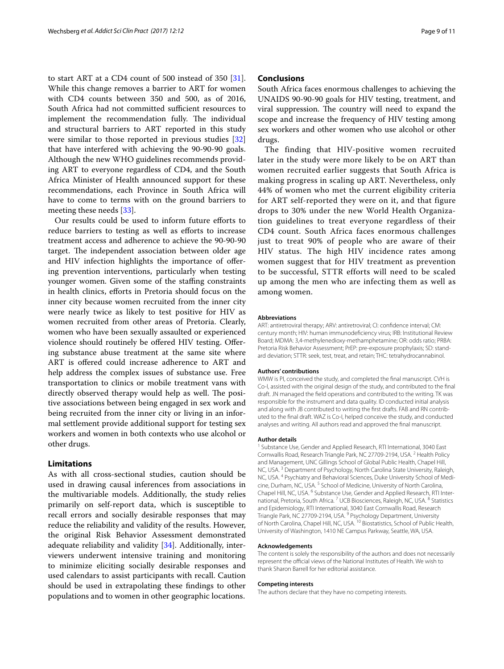to start ART at a CD4 count of 500 instead of 350 [\[31](#page-9-30)]. While this change removes a barrier to ART for women with CD4 counts between 350 and 500, as of 2016, South Africa had not committed sufficient resources to implement the recommendation fully. The individual and structural barriers to ART reported in this study were similar to those reported in previous studies [[32](#page-10-0)] that have interfered with achieving the 90-90-90 goals. Although the new WHO guidelines recommends providing ART to everyone regardless of CD4, and the South Africa Minister of Health announced support for these recommendations, each Province in South Africa will have to come to terms with on the ground barriers to meeting these needs [\[33](#page-10-1)].

Our results could be used to inform future efforts to reduce barriers to testing as well as efforts to increase treatment access and adherence to achieve the 90-90-90 target. The independent association between older age and HIV infection highlights the importance of ofering prevention interventions, particularly when testing younger women. Given some of the staffing constraints in health clinics, efforts in Pretoria should focus on the inner city because women recruited from the inner city were nearly twice as likely to test positive for HIV as women recruited from other areas of Pretoria. Clearly, women who have been sexually assaulted or experienced violence should routinely be offered HIV testing. Offering substance abuse treatment at the same site where ART is ofered could increase adherence to ART and help address the complex issues of substance use. Free transportation to clinics or mobile treatment vans with directly observed therapy would help as well. The positive associations between being engaged in sex work and being recruited from the inner city or living in an informal settlement provide additional support for testing sex workers and women in both contexts who use alcohol or other drugs.

# **Limitations**

As with all cross-sectional studies, caution should be used in drawing causal inferences from associations in the multivariable models. Additionally, the study relies primarily on self-report data, which is susceptible to recall errors and socially desirable responses that may reduce the reliability and validity of the results. However, the original Risk Behavior Assessment demonstrated adequate reliability and validity [[34](#page-10-2)]. Additionally, interviewers underwent intensive training and monitoring to minimize eliciting socially desirable responses and used calendars to assist participants with recall. Caution should be used in extrapolating these fndings to other populations and to women in other geographic locations.

# **Conclusions**

South Africa faces enormous challenges to achieving the UNAIDS 90-90-90 goals for HIV testing, treatment, and viral suppression. The country will need to expand the scope and increase the frequency of HIV testing among sex workers and other women who use alcohol or other drugs.

The finding that HIV-positive women recruited later in the study were more likely to be on ART than women recruited earlier suggests that South Africa is making progress in scaling up ART. Nevertheless, only 44% of women who met the current eligibility criteria for ART self-reported they were on it, and that figure drops to 30% under the new World Health Organization guidelines to treat everyone regardless of their CD4 count. South Africa faces enormous challenges just to treat 90% of people who are aware of their HIV status. The high HIV incidence rates among women suggest that for HIV treatment as prevention to be successful, STTR efforts will need to be scaled up among the men who are infecting them as well as among women.

### **Abbreviations**

ART: antiretroviral therapy; ARV: antiretroviral; CI: confdence interval; CM: century month; HIV: human immunodefciency virus; IRB: Institutional Review Board; MDMA: 3,4-methylenedioxy-methamphetamine; OR: odds ratio; PRBA: Pretoria Risk Behavior Assessment; PrEP: pre-exposure prophylaxis; SD: standard deviation; STTR: seek, test, treat, and retain; THC: tetrahydrocannabinol.

#### **Authors' contributions**

WMW is PI, conceived the study, and completed the fnal manuscript. CVH is Co-I, assisted with the original design of the study, and contributed to the fnal draft. JN managed the feld operations and contributed to the writing. TK was responsible for the instrument and data quality. ID conducted initial analysis and along with JB contributed to writing the frst drafts. FAB and RN contributed to the fnal draft. WAZ is Co-I, helped conceive the study, and conducted analyses and writing. All authors read and approved the fnal manuscript.

#### **Author details**

<sup>1</sup> Substance Use, Gender and Applied Research, RTI International, 3040 East Cornwallis Road, Research Triangle Park, NC 27709-2194, USA. <sup>2</sup> Health Policy and Management, UNC Gillings School of Global Public Health, Chapel Hill, NC, USA. 3 Department of Psychology, North Carolina State University, Raleigh, NC, USA. <sup>4</sup> Psychiatry and Behavioral Sciences, Duke University School of Medicine, Durham, NC, USA. <sup>5</sup> School of Medicine, University of North Carolina, Chapel Hill, NC, USA. 6 Substance Use, Gender and Applied Research, RTI International, Pretoria, South Africa.<sup>7</sup> UCB Biosciences, Raleigh, NC, USA.<sup>8</sup> Statistics and Epidemiology, RTI International, 3040 East Cornwallis Road, Research Triangle Park, NC 27709-2194, USA.<sup>9</sup> Psychology Department, University of North Carolina, Chapel Hill, NC, USA. 10 Biostatistics, School of Public Health, University of Washington, 1410 NE Campus Parkway, Seattle, WA, USA.

## **Acknowledgements**

The content is solely the responsibility of the authors and does not necessarily represent the official views of the National Institutes of Health. We wish to thank Sharon Barrell for her editorial assistance.

#### **Competing interests**

The authors declare that they have no competing interests.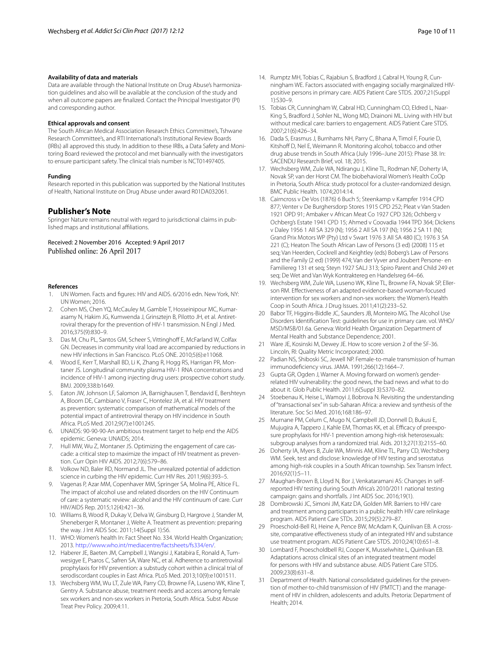# **Availability of data and materials**

Data are available through the National Institute on Drug Abuse's harmonization guidelines and also will be available at the conclusion of the study and when all outcome papers are fnalized. Contact the Principal Investigator (PI) and corresponding author.

## **Ethical approvals and consent**

The South African Medical Association Research Ethics Committee's, Tshwane Research Committee's, and RTI International's Institutional Review Boards (IRBs) all approved this study. In addition to these IRBs, a Data Safety and Monitoring Board reviewed the protocol and met biannually with the investigators to ensure participant safety. The clinical trials number is NCT01497405.

## **Funding**

Research reported in this publication was supported by the National Institutes of Health, National Institute on Drug Abuse under award R01DA032061.

# **Publisher's Note**

Springer Nature remains neutral with regard to jurisdictional claims in published maps and institutional afliations.

Received: 2 November 2016 Accepted: 9 April 2017 Published online: 26 April 2017

### **References**

- <span id="page-9-0"></span>UN Women. Facts and figures: HIV and AIDS. 6/2016 edn. New York, NY: UN Women; 2016.
- <span id="page-9-1"></span>2. Cohen MS, Chen YQ, McCauley M, Gamble T, Hosseinipour MC, Kumarasamy N, Hakim JG, Kumwenda J, Grinsztejn B, Pilotto JH, et al. Antiretroviral therapy for the prevention of HIV-1 transmission. N Engl J Med. 2016;375(9):830–9.
- <span id="page-9-2"></span>3. Das M, Chu PL, Santos GM, Scheer S, Vittinghoff E, McFarland W, Colfax GN. Decreases in community viral load are accompanied by reductions in new HIV infections in San Francisco. PLoS ONE. 2010;5(6):e11068.
- <span id="page-9-3"></span>4. Wood E, Kerr T, Marshall BD, Li K, Zhang R, Hogg RS, Harrigan PR, Montaner JS. Longitudinal community plasma HIV-1 RNA concentrations and incidence of HIV-1 among injecting drug users: prospective cohort study. BMJ. 2009;338:b1649.
- <span id="page-9-4"></span>5. Eaton JW, Johnson LF, Salomon JA, Barnighausen T, Bendavid E, Bershteyn A, Bloom DE, Cambiano V, Fraser C, Hontelez JA, et al. HIV treatment as prevention: systematic comparison of mathematical models of the potential impact of antiretroviral therapy on HIV incidence in South Africa. PLoS Med. 2012;9(7):e1001245.
- <span id="page-9-5"></span>6. UNAIDS: 90-90-90-An ambitious treatment target to help end the AIDS epidemic. Geneva: UNAIDS; 2014.
- <span id="page-9-6"></span>7. Hull MW, Wu Z, Montaner JS. Optimizing the engagement of care cascade: a critical step to maximize the impact of HIV treatment as prevention. Curr Opin HIV AIDS. 2012;7(6):579–86.
- <span id="page-9-7"></span>8. Volkow ND, Baler RD, Normand JL. The unrealized potential of addiction science in curbing the HIV epidemic. Curr HIV Res. 2011;9(6):393–5.
- <span id="page-9-8"></span>9. Vagenas P, Azar MM, Copenhaver MM, Springer SA, Molina PE, Altice FL. The impact of alcohol use and related disorders on the HIV Continuum of care: a systematic review: alcohol and the HIV continuum of care. Curr HIV/AIDS Rep. 2015;12(4):421–36.
- <span id="page-9-9"></span>10. Williams B, Wood R, Dukay V, Delva W, Ginsburg D, Hargrove J, Stander M, Sheneberger R, Montaner J, Welte A. Treatment as prevention: preparing the way. J Int AIDS Soc. 2011;14(Suppl 1):S6.
- <span id="page-9-10"></span>11. WHO: Women's health In: Fact Sheet No. 334. World Health Organization; 2013.<http://www.who.int/mediacentre/factsheets/fs334/en/>.
- <span id="page-9-11"></span>12. Haberer JE, Baeten JM, Campbell J, Wangisi J, Katabira E, Ronald A, Tumwesigye E, Psaros C, Safren SA, Ware NC, et al. Adherence to antiretroviral prophylaxis for HIV prevention: a substudy cohort within a clinical trial of serodiscordant couples in East Africa. PLoS Med. 2013;10(9):e1001511.
- <span id="page-9-12"></span>13. Wechsberg WM, Wu LT, Zule WA, Parry CD, Browne FA, Luseno WK, Kline T, Gentry A. Substance abuse, treatment needs and access among female sex workers and non-sex workers in Pretoria, South Africa. Subst Abuse Treat Prev Policy. 2009;4:11.
- <span id="page-9-13"></span>14. Rumptz MH, Tobias C, Rajabiun S, Bradford J, Cabral H, Young R, Cunningham WE. Factors associated with engaging socially marginalized HIVpositive persons in primary care. AIDS Patient Care STDS. 2007;21(Suppl 1):S30–9.
- <span id="page-9-14"></span>15. Tobias CR, Cunningham W, Cabral HD, Cunningham CO, Eldred L, Naar-King S, Bradford J, Sohler NL, Wong MD, Drainoni ML. Living with HIV but without medical care: barriers to engagement. AIDS Patient Care STDS. 2007;21(6):426–34.
- <span id="page-9-15"></span>16. Dada S, Erasmus J, Burnhams NH, Parry C, Bhana A, Timol F, Fourie D, Kitshoff D, Nel E, Weimann R. Monitoring alcohol, tobacco and other drug abuse trends in South Africa (July 1996–June 2015): Phase 38. In: SACENDU Research Brief, vol. 18; 2015.
- <span id="page-9-16"></span>17. Wechsberg WM, Zule WA, Ndirangu J, Kline TL, Rodman NF, Doherty IA, Novak SP, van der Horst CM. The biobehavioral Women's Health CoOp in Pretoria, South Africa: study protocol for a cluster-randomized design. BMC Public Health. 1074;2014:14.
- <span id="page-9-17"></span>18. Cairncross v De Vos (1876) 6 Buch 5; Steenkamp v Kampfer 1914 CPD 877; Venter v De Burghersdorp Stores 1915 CPD 252; Pleat v Van Staden 1921 OPD 91; Ambaker v African Meat Co 1927 CPD 326; Ochberg v Ochberg's Estate 1941 CPD 15; Ahmed v Coovadia 1944 TPD 364; Dickens v Daley 1956 1 All SA 329 (N); 1956 2 All SA 197 (N); 1956 2 SA 11 (N); Grand Prix Motors WP (Pty) Ltd v Swart 1976 3 All SA 480 (C); 1976 3 SA 221 (C); Heaton The South African Law of Persons (3 ed) (2008) 115 et seq; Van Heerden, Cockrell and Keightley (eds) Boberg's Law of Persons and the Family (2 ed) (1999) 474; Van der Vyver and Joubert Persone- en Familiereg 131 et seq; Steyn 1927 SALJ 313; Spiro Parent and Child 249 et seq; De Wet and Van Wyk Kontraktereg en Handelsreg 64–66.
- <span id="page-9-18"></span>19. Wechsberg WM, Zule WA, Luseno WK, Kline TL, Browne FA, Novak SP, Ellerson RM. Efectiveness of an adapted evidence-based woman-focused intervention for sex workers and non-sex workers: the Women's Health Coop in South Africa. J Drug Issues. 2011;41(2):233–52.
- <span id="page-9-19"></span>20 Babor TF, Higgins-Biddle JC, Saunders JB, Monteiro MG. The Alcohol Use Disorders Identifcation Test: guidelines for use in primary care. vol. WHO/ MSD/MSB/01.6a. Geneva: World Health Organization Department of Mental Health and Substance Dependence; 2001.
- <span id="page-9-20"></span>21 Ware JE, Kosinski M, Dewey JE. How to score version 2 of the SF-36. Lincoln, RI: Quality Metric Incorporated; 2000.
- <span id="page-9-21"></span>22 Padian NS, Shiboski SC, Jewell NP. Female-to-male transmission of human immunodefciency virus. JAMA. 1991;266(12):1664–7.
- <span id="page-9-22"></span>23 Gupta GR, Ogden J, Warner A. Moving forward on women's genderrelated HIV vulnerability: the good news, the bad news and what to do about it. Glob Public Health. 2011;6(Suppl 3):S370–82.
- <span id="page-9-23"></span>24 Stoebenau K, Heise L, Wamoyi J, Bobrova N. Revisiting the understanding of "transactional sex" in sub-Saharan Africa: a review and synthesis of the literature. Soc Sci Med. 2016;168:186–97.
- <span id="page-9-24"></span>25 Murnane PM, Celum C, Mugo N, Campbell JD, Donnell D, Bukusi E, Mujugira A, Tappero J, Kahle EM, Thomas KK, et al. Efficacy of preexposure prophylaxis for HIV-1 prevention among high-risk heterosexuals: subgroup analyses from a randomized trial. Aids. 2013;27(13):2155–60.
- <span id="page-9-25"></span>26 Doherty IA, Myers B, Zule WA, Minnis AM, Kline TL, Parry CD, Wechsberg WM. Seek, test and disclose: knowledge of HIV testing and serostatus among high-risk couples in a South African township. Sex Transm Infect. 2016;92(1):5–11.
- <span id="page-9-26"></span>27 Maughan-Brown B, Lloyd N, Bor J, Venkataramani AS: Changes in selfreported HIV testing during South Africa's 2010/2011 national testing campaign: gains and shortfalls. J Int AIDS Soc. 2016;19(1).
- <span id="page-9-27"></span>28 Dombrowski JC, Simoni JM, Katz DA, Golden MR. Barriers to HIV care and treatment among participants in a public health HIV care relinkage program. AIDS Patient Care STDs. 2015;29(5):279–87.
- <span id="page-9-28"></span>29 Proeschold-Bell RJ, Heine A, Pence BW, McAdam K, Quinlivan EB. A crosssite, comparative effectiveness study of an integrated HIV and substance use treatment program. AIDS Patient Care STDS. 2010;24(10):651–8.
- <span id="page-9-29"></span>30 Lombard F, Proescholdbell RJ, Cooper K, Musselwhite L, Quinlivan EB. Adaptations across clinical sites of an integrated treatment model for persons with HIV and substance abuse. AIDS Patient Care STDS. 2009;23(8):631–8.
- <span id="page-9-30"></span>31 Department of Health. National consolidated guidelines for the prevention of mother-to-child transmission of HIV (PMTCT) and the management of HIV in children, adolescents and adults. Pretoria: Department of Health; 2014.